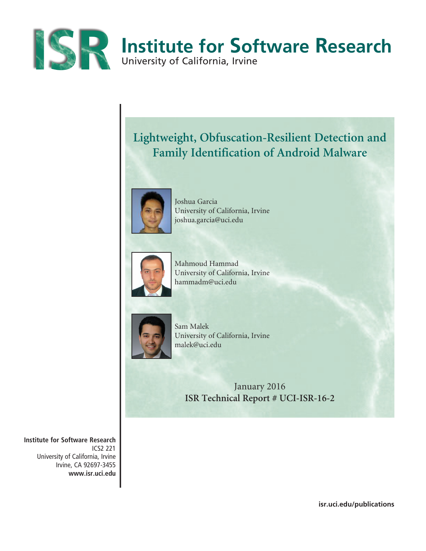

# **Lightweight, Obfuscation-Resilient Detection and Family Identification of Android Malware**



Joshua Garcia University of California, Irvine joshua.garcia@uci.edu



Mahmoud Hammad University of California, Irvine hammadm@uci.edu



Sam Malek University of California, Irvine malek@uci.edu

> January 2016 **ISR Technical Report # UCI-ISR-16-2**

**Institute for Software Research** ICS2 221 University of California, Irvine Irvine, CA 92697-3455 **www.isr.uci.edu**

**isr.uci.edu/publications**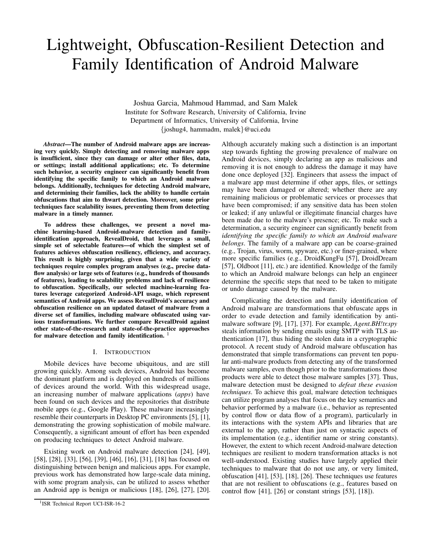# Lightweight, Obfuscation-Resilient Detection and Family Identification of Android Malware

Joshua Garcia, Mahmoud Hammad, and Sam Malek Institute for Software Research, University of California, Irvine Department of Informatics, University of California, Irvine {joshug4, hammadm, malek}@uci.edu

*Abstract*—The number of Android malware apps are increasing very quickly. Simply detecting and removing malware apps is insufficient, since they can damage or alter other files, data, or settings; install additional applications; etc. To determine such behavior, a security engineer can significantly benefit from identifying the specific family to which an Android malware belongs. Additionally, techniques for detecting Android malware, and determining their families, lack the ability to handle certain obfuscations that aim to thwart detection. Moreover, some prior techniques face scalability issues, preventing them from detecting malware in a timely manner.

To address these challenges, we present a novel machine learning-based Android-malware detection and familyidentification approach, RevealDroid, that leverages a small, simple set of selectable features—of which the simplest set of features achieves obfuscation resiliency, efficiency, and accuracy. This result is highly surprising, given that a wide variety of techniques require complex program analyses (e.g., precise dataflow analysis) or large sets of features (e.g., hundreds of thousands of features), leading to scalability problems and lack of resilience to obfuscation. Specifically, our selected machine-learning features leverage categorized Android-API usage, which represent semantics of Android apps. We assess RevealDroid's accuracy and obfuscation resilience on an updated dataset of malware from a diverse set of families, including malware obfuscated using various transformations. We further compare RevealDroid against other state-of-the-research and state-of-the-practice approaches for malware detection and family identification.  $1$ 

# I. INTRODUCTION

Mobile devices have become ubiquitous, and are still growing quickly. Among such devices, Android has become the dominant platform and is deployed on hundreds of millions of devices around the world. With this widespread usage, an increasing number of malware applications (*apps*) have been found on such devices and the repositories that distribute mobile apps (e.g., Google Play). These malware increasingly resemble their counterparts in Desktop PC environments [5], [1], demonstrating the growing sophistication of mobile malware. Consequently, a significant amount of effort has been expended on producing techniques to detect Android malware.

Existing work on Android malware detection [24], [49], [58], [28], [33], [56], [39], [46], [16], [31], [18] has focused on distinguishing between benign and malicious apps. For example, previous work has demonstrated how large-scale data mining, with some program analysis, can be utilized to assess whether an Android app is benign or malicious [18], [26], [27], [20]. Although accurately making such a distinction is an important step towards fighting the growing prevalence of malware on Android devices, simply declaring an app as malicious and removing it is not enough to address the damage it may have done once deployed [32]. Engineers that assess the impact of a malware app must determine if other apps, files, or settings may have been damaged or altered; whether there are any remaining malicious or problematic services or processes that have been compromised; if any sensitive data has been stolen or leaked; if any unlawful or illegitimate financial charges have been made due to the malware's presence; etc. To make such a determination, a security engineer can significantly benefit from *identifying the specific family to which an Android malware belongs*. The family of a malware app can be coarse-grained (e.g., Trojan, virus, worm, spyware, etc.) or finer-grained, where more specific families (e.g., DroidKungFu [57], DroidDream [57], Oldboot [11], etc.) are identified. Knowledge of the family to which an Android malware belongs can help an engineer determine the specific steps that need to be taken to mitigate or undo damage caused by the malware.

Complicating the detection and family identification of Android malware are transformations that obfuscate apps in order to evade detection and family identification by antimalware software [9], [17], [37]. For example, *Agent.BH!tr.spy* steals information by sending emails using SMTP with TLS authentication [17], thus hiding the stolen data in a cryptographic protocol. A recent study of Android malware obfuscation has demonstrated that simple transformations can prevent ten popular anti-malware products from detecting any of the transformed malware samples, even though prior to the transformations those products were able to detect those malware samples [37]. Thus, malware detection must be designed to *defeat these evasion techniques*. To achieve this goal, malware detection techniques can utilize program analyses that focus on the key semantics and behavior performed by a malware (i.e., behavior as represented by control flow or data flow of a program), particularly in its interactions with the system APIs and libraries that are external to the app, rather than just on syntactic aspects of its implementation (e.g., identifier name or string constants). However, the extent to which recent Android-malware detection techniques are resilient to modern transformation attacks is not well-understood. Existing studies have largely applied their techniques to malware that do not use any, or very limited, obfuscation [41], [53], [18], [26]. These techniques use features that are not resilient to obfuscations (e.g., features based on control flow  $[41]$ ,  $[26]$  or constant strings  $[53]$ ,  $[18]$ ).

<sup>&</sup>lt;sup>1</sup>ISR Technical Report UCI-ISR-16-2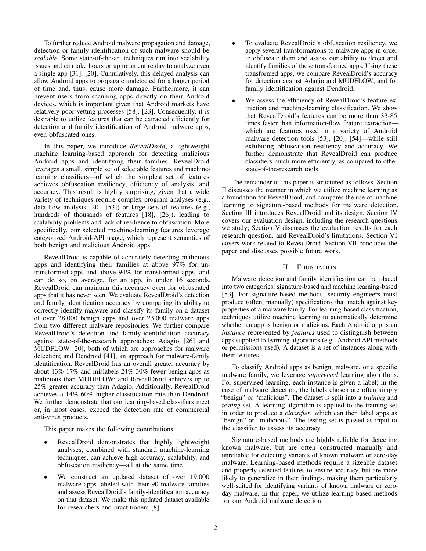To further reduce Android malware propagation and damage, detection or family identification of such malware should be *scalable*. Some state-of-the-art techniques run into scalability issues and can take hours or up to an entire day to analyze even a single app [31], [20]. Cumulatively, this delayed analysis can allow Android apps to propagate undetected for a longer period of time and, thus, cause more damage. Furthermore, it can prevent users from scanning apps directly on their Android devices, which is important given that Android markets have relatively poor vetting processes [58], [23]. Consequently, it is desirable to utilize features that can be extracted efficiently for detection and family identification of Android malware apps, even obfuscated ones.

In this paper, we introduce *RevealDroid*, a lightweight machine learning-based approach for detecting malicious Android apps and identifying their families. RevealDroid leverages a small, simple set of selectable features and machinelearning classifiers—of which the simplest set of features achieves obfuscation resiliency, efficiency of analysis, and accuracy. This result is highly surprising, given that a wide variety of techniques require complex program analyses (e.g., data-flow analysis [20], [53]) or large sets of features (e.g., hundreds of thousands of features [18], [26]), leading to scalability problems and lack of resilience to obfuscation. More specifically, our selected machine-learning features leverage categorized Android-API usage, which represent semantics of both benign and malicious Android apps.

RevealDroid is capable of accurately detecting malicious apps and identifying their families at above 97% for untransformed apps and above 94% for transformed apps, and can do so, on average, for an app, in under 16 seconds. RevealDroid can maintain this accuracy even for obfuscated apps that it has never seen. We evaluate RevealDroid's detection and family identification accuracy by comparing its ability to correctly identify malware and classify its family on a dataset of over 28,000 benign apps and over 23,000 malware apps from two different malware repositories. We further compare RevealDroid's detection and family-identification accuracy against state-of-the-research approaches: Adagio [26] and MUDFLOW [20], both of which are approaches for malware detection; and Dendroid [41], an approach for malware-family identification. RevealDroid has an overall greater accuracy by about 13%-17% and mislabels 24%-30% fewer benign apps as malicious than MUDFLOW; and RevealDroid achieves up to 25% greater accuracy than Adagio. Additionally, RevealDroid achieves a 14%-60% higher classification rate than Dendroid. We further demonstrate that our learning-based classifiers meet or, in most cases, exceed the detection rate of commercial anti-virus products.

This paper makes the following contributions:

- RevealDroid demonstrates that highly lightweight analyses, combined with standard machine-learning techniques, can achieve high accuracy, scalability, and obfuscation resiliency—all at the same time.
- We construct an updated dataset of over 19,000 malware apps labeled with their 90 malware families and assess RevealDroid's family-identification accuracy on that dataset. We make this updated dataset available for researchers and practitioners [8].
- To evaluate RevealDroid's obfuscation resiliency, we apply several transformations to malware apps in order to obfuscate them and assess our ability to detect and identify families of those transformed apps. Using these transformed apps, we compare RevealDroid's accuracy for detection against Adagio and MUDFLOW, and for family identification against Dendroid.
- We assess the efficiency of RevealDroid's feature extraction and machine-learning classification. We show that RevealDroid's features can be more than 33-85 times faster than information-flow feature extraction which are features used in a variety of Android malware detection tools [53], [20], [54]—while still exhibiting obfuscation resiliency and accuracy. We further demonstrate that RevealDroid can produce classifiers much more efficiently, as compared to other state-of-the-research tools.

The remainder of this paper is structured as follows. Section II discusses the manner in which we utilize machine learning as a foundation for RevealDroid, and compares the use of machine learning to signature-based methods for malware detection. Section III introduces RevealDroid and its design. Section IV covers our evaluation design, including the research questions we study; Section V discusses the evaluation results for each research question, and RevealDroid's limitations. Section VI covers work related to RevealDroid. Section VII concludes the paper and discusses possible future work.

# II. FOUNDATION

Malware detection and family identification can be placed into two categories: signature-based and machine learning-based [53]. For signature-based methods, security engineers must produce (often, manually) specifications that match against key properties of a malware family. For learning-based classification, techniques utilize machine learning to automatically determine whether an app is benign or malicious. Each Android app is an *instance* represented by *features* used to distinguish between apps supplied to learning algorithms (e.g., Android API methods or permissions used). A dataset is a set of instances along with their features.

To classify Android apps as benign, malware, or a specific malware family, we leverage *supervised* learning algorithms. For supervised learning, each instance is given a label; in the case of malware detection, the labels chosen are often simply "benign" or "malicious". The dataset is split into a *training* and *testing* set. A learning algorithm is applied to the training set in order to produce a *classifier*, which can then label apps as "benign" or "malicious". The testing set is passed as input to the classifier to assess its accuracy.

Signature-based methods are highly reliable for detecting known malware, but are often constructed manually and unreliable for detecting variants of known malware or zero-day malware. Learning-based methods require a sizeable dataset and properly selected features to ensure accuracy, but are more likely to generalize in their findings, making them particularly well-suited for identifying variants of known malware or zeroday malware. In this paper, we utilize learning-based methods for our Android malware detection.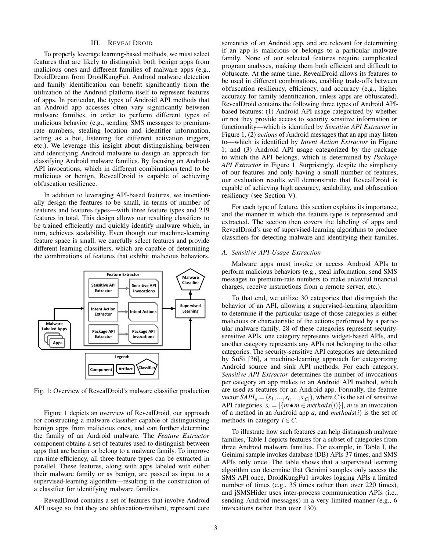## III. REVEALDROID

To properly leverage learning-based methods, we must select features that are likely to distinguish both benign apps from malicious ones and different families of malware apps (e.g., DroidDream from DroidKungFu). Android malware detection and family identification can benefit significantly from the utilization of the Android platform itself to represent features of apps. In particular, the types of Android API methods that an Android app accesses often vary significantly between malware families, in order to perform different types of malicious behavior (e.g., sending SMS messages to premiumrate numbers, stealing location and identifier information, acting as a bot, listening for different activation triggers, etc.). We leverage this insight about distinguishing between and identifying Android malware to design an approach for classifying Android malware families. By focusing on Android-API invocations, which in different combinations tend to be malicious or benign, RevealDroid is capable of achieving obfuscation resilience.

In addition to leveraging API-based features, we intentionally design the features to be small, in terms of number of features and features types—with three feature types and 219 features in total. This design allows our resulting classifiers to be trained efficiently and quickly identify malware which, in turn, achieves scalability. Even though our machine-learning feature space is small, we carefully select features and provide different learning classifiers, which are capable of determining the combinations of features that exhibit malicious behaviors.



Fig. 1: Overview of RevealDroid's malware classifier production

Figure 1 depicts an overview of RevealDroid, our approach for constructing a malware classifier capable of distinguishing benign apps from malicious ones, and can further determine the family of an Android malware. The *Feature Extractor* component obtains a set of features used to distinguish between apps that are benign or belong to a malware family. To improve run-time efficiency, all three feature types can be extracted in parallel. These features, along with apps labeled with either their malware family or as benign, are passed as input to a supervised-learning algorithm—resulting in the construction of a classifier for identifying malware families.

RevealDroid contains a set of features that involve Android API usage so that they are obfuscation-resilient, represent core semantics of an Android app, and are relevant for determining if an app is malicious or belongs to a particular malware family. None of our selected features require complicated program analyses, making them both efficient and difficult to obfuscate. At the same time, RevealDroid allows its features to be used in different combinations, enabling trade-offs between obfuscation resiliency, efficiency, and accuracy (e.g., higher accuracy for family identification, unless apps are obfuscated). RevealDroid contains the following three types of Android APIbased features: (1) Android API usage categorized by whether or not they provide access to security sensitive information or functionality—which is identified by *Sensitive API Extractor* in Figure 1, (2) *actions* of Android messages that an app may listen to—which is identified by *Intent Action Extractor* in Figure 1; and (3) Android API usage categorized by the package to which the API belongs, which is determined by *Package API Extractor* in Figure 1. Surprisingly, despite the simplicity of our features and only having a small number of features, our evaluation results will demonstrate that RevealDroid is capable of achieving high accuracy, scalability, and obfuscation resiliency (see Section V).

For each type of feature, this section explains its importance, and the manner in which the feature type is represented and extracted. The section then covers the labeling of apps and RevealDroid's use of supervised-learning algorithms to produce classifiers for detecting malware and identifying their families.

#### *A. Sensitive API-Usage Extraction*

Malware apps must invoke or access Android APIs to perform malicious behaviors (e.g., steal information, send SMS messages to premium-rate numbers to make unlawful financial charges, receive instructions from a remote server, etc.).

To that end, we utilize 30 categories that distinguish the behavior of an API, allowing a supervised-learning algorithm to determine if the particular usage of those categories is either malicious or characteristic of the actions performed by a particular malware family. 28 of these categories represent securitysensitive APIs, one category represents widget-based APIs, and another category represents any APIs not belonging to the other categories. The security-sensitive API categories are determined by SuSi [36], a machine-learning approach for categorizing Android source and sink API methods. For each category, *Sensitive API Extractor* determines the number of invocations per category an app makes to an Android API method, which are used as features for an Android app. Formally, the feature vector  $SAPI_a = (s_1, ..., s_i, ..., s_{|C|})$ , where *C* is the set of sensitive API categories,  $s_i = |\{m \bullet m \in methods(i)\}|$ , *m* is an invocation of a method in an Android app *a*, and *methods*(*i*) is the set of methods in category  $i \in C$ .

To illustrate how such features can help distinguish malware families, Table I depicts features for a subset of categories from three Android malware families. For example, in Table I, the Geinimi sample invokes database (DB) APIs 37 times, and SMS APIs only once. The table shows that a supervised learning algorithm can determine that Geinimi samples only access the SMS API once, DroidKungFu1 invokes logging APIs a limited number of times (e.g., 35 times rather than over 220 times), and jSMSHider uses inter-process communication APIs (i.e., sending Android messages) in a very limited manner (e.g., 6 invocations rather than over 130).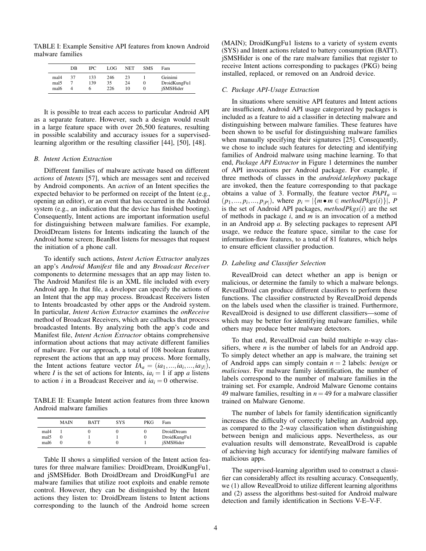TABLE I: Example Sensitive API features from known Android malware families

|                                  | DB | IPC.            | LOG.             | <b>NET</b>     | <b>SMS</b>    | Fam                                  |
|----------------------------------|----|-----------------|------------------|----------------|---------------|--------------------------------------|
| mal4<br>mal <sub>5</sub><br>mal6 | 37 | 133<br>139<br>o | 246<br>35<br>226 | 23<br>24<br>10 | $\theta$<br>O | Geinimi<br>DroidKungFu1<br>jSMSHider |

It is possible to treat each access to particular Android API as a separate feature. However, such a design would result in a large feature space with over 26,500 features, resulting in possible scalability and accuracy issues for a supervisedlearning algorithm or the resulting classifier [44], [50], [48].

#### *B. Intent Action Extraction*

Different families of malware activate based on different *actions* of *Intents* [57], which are messages sent and received by Android components. An *action* of an Intent specifies the expected behavior to be performed on receipt of the Intent (e.g., opening an editor), or an event that has occurred in the Android system (e.g., an indication that the device has finished booting). Consequently, Intent actions are important information useful for distinguishing between malware families. For example, DroidDream listens for Intents indicating the launch of the Android home screen; BeanBot listens for messages that request the initiation of a phone call.

To identify such actions, *Intent Action Extractor* analyzes an app's *Android Manifest* file and any *Broadcast Receiver* components to determine messages that an app may listen to. The Android Manifest file is an XML file included with every Android app. In that file, a developer can specify the actions of an Intent that the app may process. Broadcast Receivers listen to Intents broadcasted by other apps or the Android system. In particular, *Intent Action Extractor* examines the *onReceive* method of Broadcast Receivers, which are callbacks that process broadcasted Intents. By analyzing both the app's code and Manifest file, *Intent Action Extractor* obtains comprehensive information about actions that may activate different families of malware. For our approach, a total of 108 boolean features represent the actions that an app may process. More formally, the Intent actions feature vector  $IA_a = (ia_1, ..., ia_i, ..., ia_{|I|}),$ where *I* is the set of actions for Intents,  $ia<sub>i</sub> = 1$  if app *a* listens to action *i* in a Broadcast Receiver and  $ia_i = 0$  otherwise.

TABLE II: Example Intent action features from three known Android malware families

|                                  | <b>MAIN</b> | <b>BATT</b> | <b>SYS</b> | <b>PKG</b> | Fam                                            |
|----------------------------------|-------------|-------------|------------|------------|------------------------------------------------|
| mal4<br>mal <sub>5</sub><br>mal6 | U           |             |            |            | DroidDream<br>DroidKungFu1<br><i>iSMSHider</i> |

Table II shows a simplified version of the Intent action features for three malware families: DroidDream, DroidKungFu1, and jSMSHider. Both DroidDream and DroidKungFu1 are malware families that utilize root exploits and enable remote control. However, they can be distinguished by the Intent actions they listen to: DroidDream listens to Intent actions corresponding to the launch of the Android home screen

(MAIN); DroidKungFu1 listens to a variety of system events (SYS) and Intent actions related to battery consumption (BATT). jSMSHider is one of the rare malware families that register to receive Intent actions corresponding to packages (PKG) being installed, replaced, or removed on an Android device.

#### *C. Package API-Usage Extraction*

In situations where sensitive API features and Intent actions are insufficient, Android API usage categorized by packages is included as a feature to aid a classifier in detecting malware and distinguishing between malware families. These features have been shown to be useful for distinguishing malware families when manually specifying their signatures [25]. Consequently, we chose to include such features for detecting and identifying families of Android malware using machine learning. To that end, *Package API Extractor* in Figure 1 determines the number of API invocations per Android package. For example, if three methods of classes in the *android.telephony* package are invoked, then the feature corresponding to that package obtains a value of 3. Formally, the feature vector *PAPI<sup>a</sup>* =  $(p_1, ..., p_i, ..., p_{|P|})$ , where  $p_i = |\{m \bullet m \in \text{methodPkgs}(i)\}|$ , *P* is the set of Android API packages, *methodPkgs*(*i*) are the set of methods in package *i*, and *m* is an invocation of a method in an Android app *a*. By selecting packages to represent API usage, we reduce the feature space, similar to the case for information-flow features, to a total of 81 features, which helps to ensure efficient classifier production.

#### *D. Labeling and Classifier Selection*

RevealDroid can detect whether an app is benign or malicious, or determine the family to which a malware belongs. RevealDroid can produce different classifiers to perform these functions. The classifier constructed by RevealDroid depends on the labels used when the classifier is trained. Furthermore, RevealDroid is designed to use different classifiers—some of which may be better for identifying malware families, while others may produce better malware detectors.

To that end, RevealDroid can build multiple *n*-way classifiers, where *n* is the number of labels for an Android app. To simply detect whether an app is malware, the training set of Android apps can simply contain *n* = 2 labels: *benign* or *malicious*. For malware family identification, the number of labels correspond to the number of malware families in the training set. For example, Android Malware Genome contains 49 malware families, resulting in  $n = 49$  for a malware classifier trained on Malware Genome.

The number of labels for family identification significantly increases the difficulty of correctly labeling an Android app, as compared to the 2-way classification when distinguishing between benign and malicious apps. Nevertheless, as our evaluation results will demonstrate, RevealDroid is capable of achieving high accuracy for identifying malware families of malicious apps.

The supervised-learning algorithm used to construct a classifier can considerably affect its resulting accuracy. Consequently, we (1) allow RevealDroid to utilize different learning algorithms and (2) assess the algorithms best-suited for Android malware detection and family identification in Sections V-E–V-F.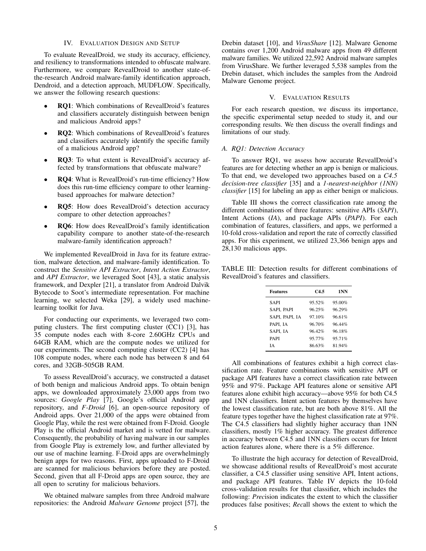#### IV. EVALUATION DESIGN AND SETUP

To evaluate RevealDroid, we study its accuracy, efficiency, and resiliency to transformations intended to obfuscate malware. Furthermore, we compare RevealDroid to another state-ofthe-research Android malware-family identification approach, Dendroid, and a detection approach, MUDFLOW. Specifically, we answer the following research questions:

- RQ1: Which combinations of RevealDroid's features and classifiers accurately distinguish between benign and malicious Android apps?
- RQ2: Which combinations of RevealDroid's features and classifiers accurately identify the specific family of a malicious Android app?
- RQ3: To what extent is RevealDroid's accuracy affected by transformations that obfuscate malware?
- RQ4: What is RevealDroid's run-time efficiency? How does this run-time efficiency compare to other learningbased approaches for malware detection?
- RQ5: How does RevealDroid's detection accuracy compare to other detection approaches?
- RQ6: How does RevealDroid's family identification capability compare to another state-of-the-research malware-family identification approach?

We implemented RevealDroid in Java for its feature extraction, malware detection, and malware-family identification. To construct the *Sensitive API Extractor*, *Intent Action Extractor*, and *API Extractor*, we leveraged Soot [43], a static analysis framework, and Dexpler [21], a translator from Android Dalvik Bytecode to Soot's intermediate representation. For machine learning, we selected Weka [29], a widely used machinelearning toolkit for Java.

For conducting our experiments, we leveraged two computing clusters. The first computing cluster (CC1) [3], has 35 compute nodes each with 8-core 2.60GHz CPUs and 64GB RAM, which are the compute nodes we utilized for our experiments. The second computing cluster (CC2) [4] has 108 compute nodes, where each node has between 8 and 64 cores, and 32GB-505GB RAM.

To assess RevealDroid's accuracy, we constructed a dataset of both benign and malicious Android apps. To obtain benign apps, we downloaded approximately 23,000 apps from two sources: *Google Play* [7], Google's official Android app repository, and *F-Droid* [6], an open-source repository of Android apps. Over 21,000 of the apps were obtained from Google Play, while the rest were obtained from F-Droid. Google Play is the official Android market and is vetted for malware. Consequently, the probability of having malware in our samples from Google Play is extremely low, and further alleviated by our use of machine learning. F-Droid apps are overwhelmingly benign apps for two reasons. First, apps uploaded to F-Droid are scanned for malicious behaviors before they are posted. Second, given that all F-Droid apps are open source, they are all open to scrutiny for malicious behaviors.

We obtained malware samples from three Android malware repositories: the Android *Malware Genome* project [57], the Drebin dataset [10], and *VirusShare* [12]. Malware Genome contains over 1,200 Android malware apps from 49 different malware families. We utilized 22,592 Android malware samples from VirusShare. We further leveraged 5,538 samples from the Drebin dataset, which includes the samples from the Android Malware Genome project.

# V. EVALUATION RESULTS

For each research question, we discuss its importance, the specific experimental setup needed to study it, and our corresponding results. We then discuss the overall findings and limitations of our study.

## *A. RQ1: Detection Accuracy*

To answer RQ1, we assess how accurate RevealDroid's features are for detecting whether an app is benign or malicious. To that end, we developed two approaches based on a *C4.5 decision-tree classifier* [35] and a *1-nearest-neighbor (1NN) classifier* [15] for labeling an app as either benign or malicious.

Table III shows the correct classification rate among the different combinations of three features: sensitive APIs (*SAPI*), Intent Actions (*IA*), and package APIs (*PAPI*). For each combination of features, classifiers, and apps, we performed a 10-fold cross-validation and report the rate of correctly classified apps. For this experiment, we utilized 23,366 benign apps and 28,130 malicious apps.

TABLE III: Detection results for different combinations of RevealDroid's features and classifiers.

| <b>Features</b> | C4.5   | 1NN    |
|-----------------|--------|--------|
| <b>SAPI</b>     | 95.52% | 95.00% |
| SAPI. PAPI      | 96.25% | 96.29% |
| SAPI, PAPI, IA  | 97.10% | 96.61% |
| PAPI, IA        | 96.70% | 96.44% |
| SAPI, IA        | 96.42% | 96.18% |
| PAPI            | 95.77% | 95.71% |
| ĪА              | 86.63% | 81.94% |

All combinations of features exhibit a high correct classification rate. Feature combinations with sensitive API or package API features have a correct classification rate between 95% and 97%. Package API features alone or sensitive API features alone exhibit high accuracy—above 95% for both C4.5 and 1NN classifiers. Intent action features by themselves have the lowest classification rate, but are both above 81%. All the feature types together have the highest classification rate at 97%. The C4.5 classifiers had slightly higher accuracy than 1NN classifiers, mostly 1% higher accuracy. The greatest difference in accuracy between C4.5 and 1NN classifiers occurs for Intent action features alone, where there is a 5% difference.

To illustrate the high accuracy for detection of RevealDroid, we showcase additional results of RevealDroid's most accurate classifier, a C4.5 classifier using sensitive API, Intent actions, and package API features. Table IV depicts the 10-fold cross-validation results for that classifier, which includes the following: *Prec*ision indicates the extent to which the classifier produces false positives; *Rec*all shows the extent to which the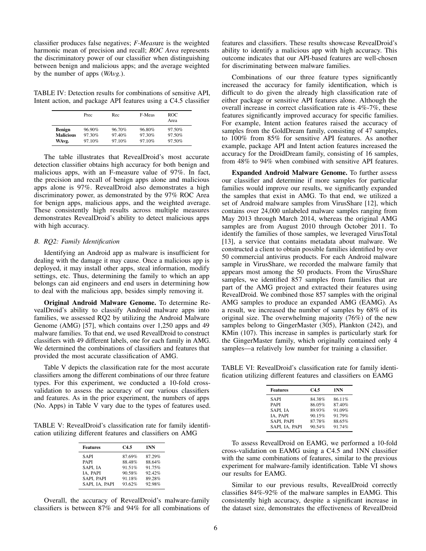classifier produces false negatives; *F-Meas*ure is the weighted harmonic mean of precision and recall; *ROC Area* represents the discriminatory power of our classifier when distinguishing between benign and malicious apps; and the average weighted by the number of apps (*WAvg.*).

TABLE IV: Detection results for combinations of sensitive API, Intent action, and package API features using a C4.5 classifier

|                  | Prec   | Rec    | F-Meas | <b>ROC</b><br>Area |
|------------------|--------|--------|--------|--------------------|
| <b>Benign</b>    | 96.90% | 96.70% | 96.80% | 97.50%             |
| <b>Malicious</b> | 97.30% | 97.40% | 97.30% | 97.50%             |
| WAvg.            | 97.10% | 97.10% | 97.10% | 97.50%             |

The table illustrates that RevealDroid's most accurate detection classifier obtains high accuracy for both benign and malicious apps, with an F-measure value of 97%. In fact, the precision and recall of benign apps alone and malicious apps alone is 97%. RevealDroid also demonstrates a high discriminatory power, as demonstrated by the 97% ROC Area for benign apps, malicious apps, and the weighted average. These consistently high results across multiple measures demonstrates RevealDroid's ability to detect malicious apps with high accuracy.

## *B. RQ2: Family Identification*

Identifying an Android app as malware is insufficient for dealing with the damage it may cause. Once a malicious app is deployed, it may install other apps, steal information, modify settings, etc. Thus, determining the family to which an app belongs can aid engineers and end users in determining how to deal with the malicious app, besides simply removing it.

Original Android Malware Genome. To determine RevealDroid's ability to classify Android malware apps into families, we assessed RQ2 by utilizing the Android Malware Genome (AMG) [57], which contains over 1,250 apps and 49 malware families. To that end, we used RevealDroid to construct classifiers with 49 different labels, one for each family in AMG. We determined the combinations of classifiers and features that provided the most accurate classification of AMG.

Table V depicts the classification rate for the most accurate classifiers among the different combinations of our three feature types. For this experiment, we conducted a 10-fold crossvalidation to assess the accuracy of our various classifiers and features. As in the prior experiment, the numbers of apps (No. Apps) in Table V vary due to the types of features used.

TABLE V: RevealDroid's classification rate for family identification utilizing different features and classifiers on AMG

| <b>Features</b> | C4.5   | 1NN    |
|-----------------|--------|--------|
| <b>SAPI</b>     | 87.69% | 87.29% |
| <b>PAPI</b>     | 88.48% | 88.64% |
| SAPI. IA        | 91.51% | 91.75% |
| IA, PAPI        | 90.58% | 92.42% |
| SAPI. PAPI      | 91.18% | 89.28% |
| SAPI, IA, PAPI  | 93.62% | 92.98% |

Overall, the accuracy of RevealDroid's malware-family classifiers is between 87% and 94% for all combinations of features and classifiers. These results showcase RevealDroid's ability to identify a malicious app with high accuracy. This outcome indicates that our API-based features are well-chosen for discriminating between malware families.

Combinations of our three feature types significantly increased the accuracy for family identification, which is difficult to do given the already high classification rate of either package or sensitive API features alone. Although the overall increase in correct classification rate is 4%-7%, these features significantly improved accuracy for specific families. For example, Intent action features raised the accuracy of samples from the GoldDream family, consisting of 47 samples, to 100% from 85% for sensitive API features. As another example, package API and Intent action features increased the accuracy for the DroidDream family, consisting of 16 samples, from 48% to 94% when combined with sensitive API features.

Expanded Android Malware Genome. To further assess our classifier and determine if more samples for particular families would improve our results, we significantly expanded the samples that exist in AMG. To that end, we utilized a set of Android malware samples from VirusShare [12], which contains over 24,000 unlabeled malware samples ranging from May 2013 through March 2014, whereas the original AMG samples are from August 2010 through October 2011. To identify the families of those samples, we leveraged VirusTotal [13], a service that contains metadata about malware. We constructed a client to obtain possible families identified by over 50 commercial antivirus products. For each Android malware sample in VirusShare, we recorded the malware family that appears most among the 50 products. From the VirusShare samples, we identified 857 samples from families that are part of the AMG project and extracted their features using RevealDroid. We combined those 857 samples with the original AMG samples to produce an expanded AMG (EAMG). As a result, we increased the number of samples by 68% of its original size. The overwhelming majority (76%) of the new samples belong to GingerMaster (305), Plankton (242), and KMin (107). This increase in samples is particularly stark for the GingerMaster family, which originally contained only 4 samples—a relatively low number for training a classifier.

TABLE VI: RevealDroid's classification rate for family identification utilizing different features and classifiers on EAMG

| <b>Features</b> | C4.5   | 1NN    |
|-----------------|--------|--------|
| <b>SAPI</b>     | 84.38% | 86.11% |
| <b>PAPI</b>     | 86.05% | 87.40% |
| SAPI. IA        | 89.93% | 91.09% |
| IA, PAPI        | 90.15% | 91.79% |
| SAPI, PAPI      | 87.78% | 88.65% |
| SAPI, IA, PAPI  | 90.54% | 91.74% |

To assess RevealDroid on EAMG, we performed a 10-fold cross-validation on EAMG using a C4.5 and 1NN classifier with the same combinations of features, similar to the previous experiment for malware-family identification. Table VI shows our results for EAMG.

Similar to our previous results, RevealDroid correctly classifies 84%-92% of the malware samples in EAMG. This consistently high accuracy, despite a significant increase in the dataset size, demonstrates the effectiveness of RevealDroid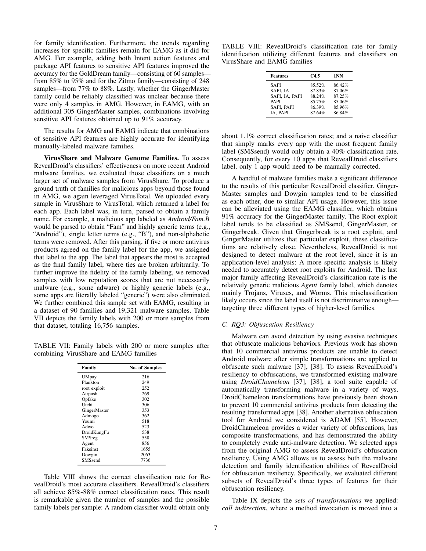for family identification. Furthermore, the trends regarding increases for specific families remain for EAMG as it did for AMG. For example, adding both Intent action features and package API features to sensitive API features improved the accuracy for the GoldDream family—consisting of 60 samples from 85% to 95% and for the Zitmo family—consisting of 248 samples—from 77% to 88%. Lastly, whether the GingerMaster family could be reliably classified was unclear because there were only 4 samples in AMG. However, in EAMG, with an additional 305 GingerMaster samples, combinations involving sensitive API features obtained up to 91% accuracy.

The results for AMG and EAMG indicate that combinations of sensitive API features are highly accurate for identifying manually-labeled malware families.

VirusShare and Malware Genome Families. To assess RevealDroid's classifiers' effectiveness on more recent Android malware families, we evaluated those classifiers on a much larger set of malware samples from VirusShare. To produce a ground truth of families for malicious apps beyond those found in AMG, we again leveraged VirusTotal. We uploaded every sample in VirusShare to VirusTotal, which returned a label for each app. Each label was, in turn, parsed to obtain a family name. For example, a malicious app labeled as *Android/Fam.B* would be parsed to obtain "Fam" and highly generic terms (e.g., "Android"), single letter terms (e.g., "B"), and non-alphabetic terms were removed. After this parsing, if five or more antivirus products agreed on the family label for the app, we assigned that label to the app. The label that appears the most is accepted as the final family label, where ties are broken arbitrarily. To further improve the fidelity of the family labeling, we removed samples with low reputation scores that are not necessarily malware (e.g., some adware) or highly generic labels (e.g., some apps are literally labeled "generic") were also eliminated. We further combined this sample set with EAMG, resulting in a dataset of 90 families and 19,321 malware samples. Table VII depicts the family labels with 200 or more samples from that dataset, totaling 16,756 samples.

TABLE VII: Family labels with 200 or more samples after combining VirusShare and EAMG families

| Family         | No. of Samples |
|----------------|----------------|
| <b>UMpay</b>   | 216            |
| Plankton       | 249            |
| root exploit   | 252            |
| Airpush        | 269            |
| Opfake         | 302            |
| Utchi          | 306            |
| GingerMaster   | 353            |
| Admogo         | 362            |
| Youmi          | 518            |
| Adwo           | 523            |
| DroidKungFu    | 538            |
| SMSreg         | 558            |
| Agent          | 856            |
| Fakeinst       | 1655           |
| Dowgin         | 2063           |
| <b>SMSsend</b> | 7736           |

Table VIII shows the correct classification rate for RevealDroid's most accurate classifiers. RevealDroid's classifiers all achieve 85%-88% correct classification rates. This result is remarkable given the number of samples and the possible family labels per sample: A random classifier would obtain only

TABLE VIII: RevealDroid's classification rate for family identification utilizing different features and classifiers on VirusShare and EAMG families

| <b>Features</b> | C4.5   | 1NN    |
|-----------------|--------|--------|
| <b>SAPI</b>     | 85.52% | 86.42% |
| SAPI, IA        | 87.83% | 87.06% |
| SAPI, IA, PAPI  | 88.24% | 87.25% |
| <b>PAPI</b>     | 85.75% | 85.06% |
| SAPI, PAPI      | 86.39% | 85.96% |
| IA, PAPI        | 87.64% | 86.84% |

about 1.1% correct classification rates; and a naive classifier that simply marks every app with the most frequent family label (SMSsend) would only obtain a 40% classification rate. Consequently, for every 10 apps that RevealDroid classifiers label, only 1 app would need to be manually corrected.

A handful of malware families make a significant difference to the results of this particular RevealDroid classifier. Ginger-Master samples and Dowgin samples tend to be classified as each other, due to similar API usage. However, this issue can be alleviated using the EAMG classifier, which obtains 91% accuracy for the GingerMaster family. The Root exploit label tends to be classified as SMSsend, GingerMaster, or Gingerbreak. Given that Gingerbreak is a root exploit, and GingerMaster utilizes that particular exploit, these classifications are relatively close. Nevertheless, RevealDroid is not designed to detect malware at the root level, since it is an application-level analysis: A more specific analysis is likely needed to accurately detect root exploits for Android. The last major family affecting RevealDroid's classification rate is the relatively generic malicious *Agent* family label, which denotes mainly Trojans, Viruses, and Worms. This misclassification likely occurs since the label itself is not discriminative enough targeting three different types of higher-level families.

## *C. RQ3: Obfuscation Resiliency*

Malware can avoid detection by using evasive techniques that obfuscate malicious behaviors. Previous work has shown that 10 commercial antivirus products are unable to detect Android malware after simple transformations are applied to obfuscate such malware [37], [38]. To assess RevealDroid's resiliency to obfuscations, we transformed existing malware using *DroidChameleon* [37], [38], a tool suite capable of automatically transforming malware in a variety of ways. DroidChameleon transformations have previously been shown to prevent 10 commercial antivirus products from detecting the resulting transformed apps [38]. Another alternative obfuscation tool for Android we considered is ADAM [55]. However, DroidChameleon provides a wider variety of obfuscations, has composite transformations, and has demonstrated the ability to completely evade anti-malware detection. We selected apps from the original AMG to assess RevealDroid's obfuscation resiliency. Using AMG allows us to assess both the malware detection and family identification abilities of RevealDroid for obfuscation resiliency. Specifically, we evaluated different subsets of RevealDroid's three types of features for their obfuscation resiliency.

Table IX depicts the *sets of transformations* we applied: *call indirection*, where a method invocation is moved into a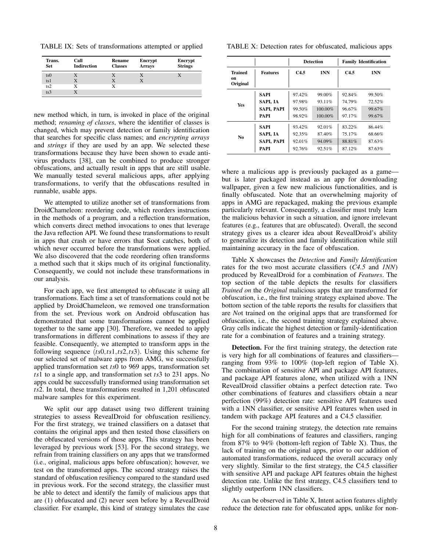TABLE IX: Sets of transformations attempted or applied

| Trans.<br><b>Set</b> | Call<br><b>Indirection</b> | Rename<br><b>Classes</b> | Encrypt<br><b>Arrays</b> | Encrypt<br><b>Strings</b> |
|----------------------|----------------------------|--------------------------|--------------------------|---------------------------|
| ts0                  |                            |                          |                          |                           |
| ts1                  |                            | X                        |                          |                           |
| ts2                  | X                          |                          |                          |                           |
| ts <sub>3</sub>      |                            |                          |                          |                           |

new method which, in turn, is invoked in place of the original method; *renaming of classes*, where the identifier of classes is changed, which may prevent detection or family identification that searches for specific class names; and *encrypting arrays* and *strings* if they are used by an app. We selected these transformations because they have been shown to evade antivirus products [38], can be combined to produce stronger obfuscations, and actually result in apps that are still usable. We manually tested several malicious apps, after applying transformations, to verify that the obfuscations resulted in runnable, usable apps.

We attempted to utilize another set of transformations from DroidChameleon: reordering code, which reorders instructions in the methods of a program, and a reflection transformation, which converts direct method invocations to ones that leverage the Java reflection API. We found these transformations to result in apps that crash or have errors that Soot catches, both of which never occurred before the transformations were applied. We also discovered that the code reordering often transforms a method such that it skips much of its original functionality. Consequently, we could not include these transformations in our analysis.

For each app, we first attempted to obfuscate it using all transformations. Each time a set of transformations could not be applied by DroidChameleon, we removed one transformation from the set. Previous work on Android obfuscation has demonstrated that some transformations cannot be applied together to the same app [30]. Therefore, we needed to apply transformations in different combinations to assess if they are feasible. Consequently, we attempted to transform apps in the following sequence (*ts*0,*ts*1,*ts*2,*ts*3). Using this scheme for our selected set of malware apps from AMG, we successfully applied transformation set *ts*0 to 969 apps, transformation set *ts*1 to a single app, and transformation set *ts*3 to 231 apps. No apps could be successfully transformed using transformation set *ts*2. In total, these transformations resulted in 1,201 obfuscated malware samples for this experiment.

We split our app dataset using two different training strategies to assess RevealDroid for obfuscation resiliency. For the first strategy, we trained classifiers on a dataset that contains the original apps and then tested those classifiers on the obfuscated versions of those apps. This strategy has been leveraged by previous work [53]. For the second strategy, we refrain from training classifiers on any apps that we transformed (i.e., original, malicious apps before obfuscation); however, we test on the transformed apps. The second strategy raises the standard of obfuscation resiliency compared to the standard used in previous work. For the second strategy, the classifier must be able to detect and identify the family of malicious apps that are (1) obfuscated and (2) never seen before by a RevealDroid classifier. For example, this kind of strategy simulates the case

TABLE X: Detection rates for obfuscated, malicious apps

|                           |                   |        | <b>Detection</b> | <b>Family Identification</b> |        |  |
|---------------------------|-------------------|--------|------------------|------------------------------|--------|--|
| Trained<br>on<br>Original | <b>Features</b>   | C4.5   | 1NN              | C4.5                         | 1NN    |  |
| <b>Yes</b>                | SAPI              | 97.42% | 99.00%           | 92.84%                       | 99.50% |  |
|                           | SAPI, IA          | 97.98% | 93.11%           | 74.79%                       | 72.52% |  |
|                           | <b>SAPI, PAPI</b> | 99.50% | $100.00\%$       | 96.67%                       | 99.67% |  |
|                           | <b>PAPI</b>       | 98.92% | $100.00\%$       | 97.17%                       | 99.67% |  |
| N <sub>0</sub>            | <b>SAPI</b>       | 93.42% | 92.01%           | 83.22%                       | 86.44% |  |
|                           | SAPI, IA          | 92.35% | 87.40%           | 75.17%                       | 68.66% |  |
|                           | <b>SAPI, PAPI</b> | 92.01% | 94.09%           | 88.81%                       | 87.63% |  |
|                           | PAPI              | 92.76% | 92.51%           | 87.12%                       | 87.63% |  |

where a malicious app is previously packaged as a game but is later packaged instead as an app for downloading wallpaper, given a few new malicious functionalities, and is finally obfuscated. Note that an overwhelming majority of apps in AMG are repackaged, making the previous example particularly relevant. Consequently, a classifier must truly learn the malicious behavior in such a situation, and ignore irrelevant features (e.g., features that are obfuscated). Overall, the second strategy gives us a clearer idea about RevealDroid's ability to generalize its detection and family identification while still maintaining accuracy in the face of obfuscation.

Table X showcases the *Detection* and *Family Identification* rates for the two most accurate classifiers (*C4.5* and *1NN*) produced by RevealDroid for a combination of *Features*. The top section of the table depicts the results for classifiers *Trained on* the *Original* malicious apps that are transformed for obfuscation, i.e., the first training strategy explained above. The bottom section of the table reports the results for classifiers that are *No*t trained on the original apps that are transformed for obfuscation, i.e., the second training strategy explained above. Gray cells indicate the highest detection or family-identification rate for a combination of features and a training strategy.

Detection. For the first training strategy, the detection rate is very high for all combinations of features and classifiers ranging from 93% to 100% (top-left region of Table X). The combination of sensitive API and package API features, and package API features alone, when utilized with a 1NN RevealDroid classifier obtains a perfect detection rate. Two other combinations of features and classifiers obtain a near perfection (99%) detection rate: sensitive API features used with a 1NN classifier, or sensitive API features when used in tandem with package API features and a C4.5 classifier.

For the second training strategy, the detection rate remains high for all combinations of features and classifiers, ranging from 87% to 94% (bottom-left region of Table X). Thus, the lack of training on the original apps, prior to our addition of automated transformations, reduced the overall accuracy only very slightly. Similar to the first strategy, the C4.5 classifier with sensitive API and package API features obtain the highest detection rate. Unlike the first strategy, C4.5 classifiers tend to slightly outperform 1NN classifiers.

As can be observed in Table X, Intent action features slightly reduce the detection rate for obfuscated apps, unlike for non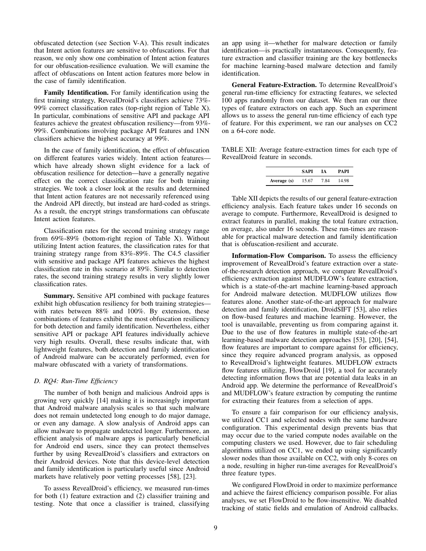obfuscated detection (see Section V-A). This result indicates that Intent action features are sensitive to obfuscations. For that reason, we only show one combination of Intent action features for our obfuscation-resilience evaluation. We will examine the affect of obfuscations on Intent action features more below in the case of family identification.

Family Identification. For family identification using the first training strategy, RevealDroid's classifiers achieve 73%- 99% correct classification rates (top-right region of Table X). In particular, combinations of sensitive API and package API features achieve the greatest obfuscation resiliency—from 93%- 99%. Combinations involving package API features and 1NN classifiers achieve the highest accuracy at 99%.

In the case of family identification, the effect of obfuscation on different features varies widely. Intent action features which have already shown slight evidence for a lack of obfuscation resilience for detection—have a generally negative effect on the correct classification rate for both training strategies. We took a closer look at the results and determined that Intent action features are not necessarily referenced using the Android API directly, but instead are hard-coded as strings. As a result, the encrypt strings transformations can obfuscate Intent action features.

Classification rates for the second training strategy range from 69%-89% (bottom-right region of Table X). Without utilizing Intent action features, the classification rates for that training strategy range from 83%-89%. The C4.5 classifier with sensitive and package API features achieves the highest classification rate in this scenario at 89%. Similar to detection rates, the second training strategy results in very slightly lower classification rates.

Summary. Sensitive API combined with package features exhibit high obfuscation resiliency for both training strategies with rates between 88% and 100%. By extension, these combinations of features exhibit the most obfuscation resiliency for both detection and family identification. Nevertheless, either sensitive API or package API features individually achieve very high results. Overall, these results indicate that, with lightweight features, both detection and family identification of Android malware can be accurately performed, even for malware obfuscated with a variety of transformations.

## *D. RQ4: Run-Time Efficiency*

The number of both benign and malicious Android apps is growing very quickly [14] making it is increasingly important that Android malware analysis scales so that such malware does not remain undetected long enough to do major damage, or even any damage. A slow analysis of Android apps can allow malware to propagate undetected longer. Furthermore, an efficient analysis of malware apps is particularly beneficial for Android end users, since they can protect themselves further by using RevealDroid's classifiers and extractors on their Android devices. Note that this device-level detection and family identification is particularly useful since Android markets have relatively poor vetting processes [58], [23].

To assess RevealDroid's efficiency, we measured run-times for both (1) feature extraction and (2) classifier training and testing. Note that once a classifier is trained, classifying an app using it—whether for malware detection or family identification—is practically instantaneous. Consequently, feature extraction and classifier training are the key bottlenecks for machine learning-based malware detection and family identification.

General Feature-Extraction. To determine RevealDroid's general run-time efficiency for extracting features, we selected 100 apps randomly from our dataset. We then ran our three types of feature extractors on each app. Such an experiment allows us to assess the general run-time efficiency of each type of feature. For this experiment, we ran our analyses on CC2 on a 64-core node.

TABLE XII: Average feature-extraction times for each type of RevealDroid feature in seconds.

|             | SAPI  | īА   | <b>PAPI</b> |
|-------------|-------|------|-------------|
| Average (s) | 15.67 | 7.84 | 14.98       |

Table XII depicts the results of our general feature-extraction efficiency analysis. Each feature takes under 16 seconds on average to compute. Furthermore, RevealDroid is designed to extract features in parallel, making the total feature extraction, on average, also under 16 seconds. These run-times are reasonable for practical malware detection and family identification that is obfuscation-resilient and accurate.

Information-Flow Comparison. To assess the efficiency improvement of RevealDroid's feature extraction over a stateof-the-research detection approach, we compare RevealDroid's efficiency extraction against MUDFLOW's feature extraction, which is a state-of-the-art machine learning-based approach for Android malware detection. MUDFLOW utilizes flow features alone. Another state-of-the-art approach for malware detection and family identification, DroidSIFT [53], also relies on flow-based features and machine learning. However, the tool is unavailable, preventing us from comparing against it. Due to the use of flow features in multiple state-of-the-art learning-based malware detection approaches [53], [20], [54], flow features are important to compare against for efficiency, since they require advanced program analysis, as opposed to RevealDroid's lightweight features. MUDFLOW extracts flow features utilizing, FlowDroid [19], a tool for accurately detecting information flows that are potential data leaks in an Android app. We determine the performance of RevealDroid's and MUDFLOW's feature extraction by computing the runtime for extracting their features from a selection of apps.

To ensure a fair comparison for our efficiency analysis, we utilized CC1 and selected nodes with the same hardware configuration. This experimental design prevents bias that may occur due to the varied compute nodes available on the computing clusters we used. However, due to fair scheduling algorithms utilized on CC1, we ended up using significantly slower nodes than those available on CC2, with only 8-cores on a node, resulting in higher run-time averages for RevealDroid's three feature types.

We configured FlowDroid in order to maximize performance and achieve the fairest efficiency comparison possible. For alias analyses, we set FlowDroid to be flow-insensitive. We disabled tracking of static fields and emulation of Android callbacks.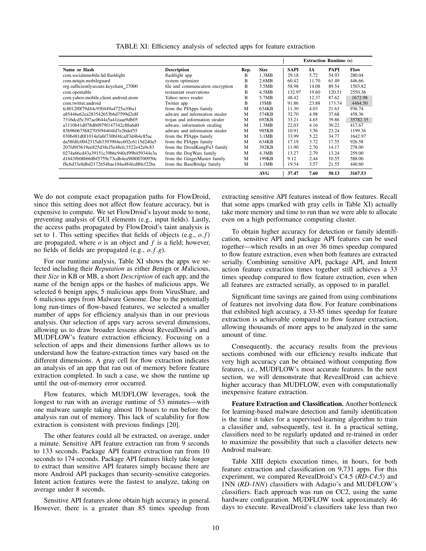|                                          |                                  |      |             | <b>Extraction Runtime (s)</b> |           |             |          |
|------------------------------------------|----------------------------------|------|-------------|-------------------------------|-----------|-------------|----------|
| Name or Hash                             | <b>Description</b>               | Rep. | <b>Size</b> | <b>SAPI</b>                   | <b>IA</b> | <b>PAPI</b> | Flow     |
| com.socialnmobile.hd.flashlight          | flashlight app                   | B    | 1.3MB       | 29.18                         | 5.72      | 54.93       | 280.04   |
| com.netgin.mobileguard                   | system optimizer                 | B    | 2.6MB       | 60.42                         | 11.70     | 61.49       | 446.66   |
| org.sufficientlysecure.keychain 27000    | file and communcation encryption | B    | 3.5MB       | 58.98                         | 14.08     | 89.54       | 1503.82  |
| com.opentable                            | restaurant reservations          | B    | 4.5MB       | 132.97                        | 19.60     | 120.51      | 2550.36  |
| com.yahoo.mobile.client.android.atom     | Yahoo news reader                | B    | 5.7MB       | 48.42                         | 12.37     | 87.62       | 1672.98  |
| com.twitter.android                      | Twitter app                      | B    | 15MB        | 91.86                         | 23.88     | 173.74      | 4464.50  |
| fc8012f0f79d44c930449a4725a106a1         | from the PJApps family           | M    | 634KB       | 11.30                         | 4.03      | 21.63       | 936.74   |
| a85446e62ea283542653b6d7599d2e8f         | adware and information stealer   | M    | 574KB       | 32.70                         | 4.98      | 37.68       | 458.36   |
| 7316dcd5c397ac0644a5a41eaae9db05         | trojan and information stealer   | M    | 692KB       | 33.21                         | 4.65      | 39.86       | 35782.35 |
| a3110b41d078d60979f147342c88a6d0         | adware, information stealing     | M    | 1.3MB       | 22.03                         | 4.16      | 30.22       | 417.67   |
| 83b960675682705f94464fd7e26def55         | adware and information stealer   | M    | 985KB       | 10.91                         | 3.56      | 23.24       | 1199.36  |
| 030b481d0f1014efa6f730bf4fcaff3d4b4c85ac | from the PJApps family           | M    | 3.1MB       | 33.99                         | 5.22      | 34.77       | 1642.97  |
| da58fdfc0042315ab3393904ec602c6115d240a5 | from the PJApps family           | M    | 634KB       | 17.19                         | 3.72      | 17.55       | 926.58   |
| 207fd9f3619ee825d38cf5e48efc3522e42a9c83 | from the DroidKungFu3 family     | M    | 392KB       | 11.90                         | 2.70      | 14.17       | 278.00   |
| 0274a66cd43a39151c39b6c940cf99b459344e3a | from the DogWars family          | M    | 4.3MB       | 13.27                         | 2.79      | 13.24       | 259.00   |
| d1643fb08bbb8bf5759c73cdb4ea98800700950c | from the GingerMaster family     | M    | 199KB       | 9.12                          | 2.44      | 10.55       | 588.00   |
| f8c6d33e8dbd2172654bae104a484fcd80cf22ba | from the BaseBridge family       | M    | 1.1MB       | 19.54                         | 3.57      | 21.55       | 440.60   |
|                                          |                                  |      | AVG         | 37.47                         | 7.60      | 50.13       | 3167.53  |

TABLE XI: Efficiency analysis of selected apps for feature extraction

We do not compute exact propagation paths for FlowDroid, since this setting does not affect flow feature accuracy, but is expensive to compute. We set FlowDroid's layout mode to none, preventing analysis of GUI elements (e.g., input fields). Lastly, the access paths propagated by FlowDroid's taint analysis is set to 1. This setting specifies that fields of objects (e.g., *o*. *f*) are propagated, where  $o$  is an object and  $f$  is a field; however, no fields of fields are propagated (e.g., *o*. *f*.*g*).

For our runtime analysis, Table XI shows the apps we selected including their *Reputation* as either *B*enign or *M*alicious, their *Size* in KB or MB, a short *Description* of each app, and the name of the benign apps or the hashes of malicious apps. We selected 6 benign apps, 5 malicious apps from VirusShare, and 6 malicious apps from Malware Genome. Due to the potentially long run-times of flow-based features, we selected a smaller number of apps for efficiency analysis than in our previous analysis. Our selection of apps vary across several dimensions, allowing us to draw broader lessens about RevealDroid's and MUDFLOW's feature extraction efficiency. Focusing on a selection of apps and their dimensions further allows us to understand how the feature-extraction times vary based on the different dimensions. A gray cell for flow extraction indicates an analysis of an app that ran out of memory before feature extraction completed. In such a case, we show the runtime up until the out-of-memory error occurred.

Flow features, which MUDFLOW leverages, took the longest to run with an average runtime of 53 minutes—with one malware sample taking almost 10 hours to run before the analysis ran out of memory. This lack of scalability for flow extraction is consistent with previous findings [20].

The other features could all be extracted, on average, under a minute. Sensitive API feature extraction ran from 9 seconds to 133 seconds. Package API feature extraction ran from 10 seconds to 174 seconds. Package API features likely take longer to extract than sensitive API features simply because there are more Android API packages than security-sensitive categories. Intent action features were the fastest to analyze, taking on average under 8 seconds.

Sensitive API features alone obtain high accuracy in general. However, there is a greater than 85 times speedup from

extracting sensitive API features instead of flow features. Recall that some apps (marked with gray cells in Table XI) actually take more memory and time to run than we were able to allocate even on a high performance computing cluster.

To obtain higher accuracy for detection or family identification, sensitive API and package API features can be used together—which results in an over 36 times speedup compared to flow feature extraction, even when both features are extracted serially. Combining sensitive API, package API, and Intent action feature extraction times together still achieves a 33 times speedup compared to flow feature extraction, even when all features are extracted serially, as opposed to in parallel.

Significant time savings are gained from using combinations of features not involving data flow. For feature combinations that exhibited high accuracy, a 33-85 times speedup for feature extraction is achievable compared to flow feature extraction, allowing thousands of more apps to be analyzed in the same amount of time.

Consequently, the accuracy results from the previous sections combined with our efficiency results indicate that very high accuracy can be obtained without computing flow features, i.e., MUDFLOW's most accurate features. In the next section, we will demonstrate that RevealDroid can achieve higher accuracy than MUDFLOW, even with computationally inexpensive feature extraction.

Feature Extraction and Classification. Another bottleneck for learning-based malware detection and family identification is the time it takes for a supervised-learning algorithm to train a classifier and, subsequently, test it. In a practical setting, classifiers need to be regularly updated and re-trained in order to maximize the possibility that such a classifier detects new Android malware.

Table XIII depicts execution times, in hours, for both feature extraction and classification on 9,731 apps. For this experiment, we compared RevealDroid's C4.5 (*RD-C4.5*) and 1NN (*RD-1NN*) classifiers with Adagio's and MUDFLOW's classifiers. Each approach was run on CC2, using the same hardware configuration. MUDFLOW took approximately 46 days to execute. RevealDroid's classifiers take less than two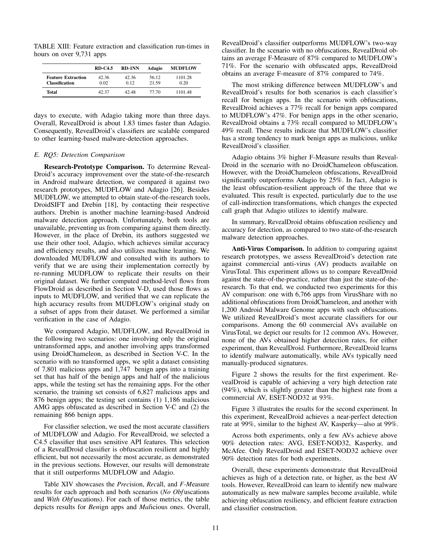TABLE XIII: Feature extraction and classification run-times in hours on over 9,731 apps

|                                                    | $RD-C4.5$     | <b>RD-1NN</b> | Adagio         | <b>MUDFLOW</b>  |
|----------------------------------------------------|---------------|---------------|----------------|-----------------|
| <b>Feature Extraction</b><br><b>Classification</b> | 42.36<br>0.02 | 42.36<br>0.12 | 56.12<br>21.59 | 1101.28<br>0.20 |
| Total                                              | 42.37         | 42.48         | 77.70          | 1101.48         |

days to execute, with Adagio taking more than three days. Overall, RevealDroid is about 1.83 times faster than Adagio. Consequently, RevealDroid's classifiers are scalable compared to other learning-based malware-detection approaches.

#### *E. RQ5: Detection Comparison*

Research-Prototype Comparison. To determine Reveal-Droid's accuracy improvement over the state-of-the-research in Android malware detection, we compared it against two research prototypes, MUDFLOW and Adagio [26]. Besides MUDFLOW, we attempted to obtain state-of-the-research tools, DroidSIFT and Drebin [18], by contacting their respective authors. Drebin is another machine learning-based Android malware detection approach. Unfortunately, both tools are unavailable, preventing us from comparing against them directly. However, in the place of Drebin, its authors suggested we use their other tool, Adagio, which achieves similar accuracy and efficiency results, and also utilizes machine learning. We downloaded MUDFLOW and consulted with its authors to verify that we are using their implementation correctly by re-running MUDFLOW to replicate their results on their original dataset. We further computed method-level flows from FlowDroid as described in Section V-D, used those flows as inputs to MUDFLOW, and verified that we can replicate the high accuracy results from MUDFLOW's original study on a subset of apps from their dataset. We performed a similar verification in the case of Adagio.

We compared Adagio, MUDFLOW, and RevealDroid in the following two scenarios: one involving only the original untransformed apps, and another involving apps transformed using DroidChameleon, as described in Section V-C. In the scenario with no transformed apps, we split a dataset consisting of 7,801 malicious apps and 1,747 benign apps into a training set that has half of the benign apps and half of the malicious apps, while the testing set has the remaining apps. For the other scenario, the training set consists of 6,827 malicious apps and 876 benign apps; the testing set contains (1) 1,186 malicious AMG apps obfuscated as described in Section V-C and (2) the remaining 866 benign apps.

For classifier selection, we used the most accurate classifiers of MUDFLOW and Adagio. For RevealDroid, we selected a C4.5 classifier that uses sensitive API features. This selection of a RevealDroid classifier is obfuscation resilient and highly efficient, but not necessarily the most accurate, as demonstrated in the previous sections. However, our results will demonstrate that it still outperforms MUDFLOW and Adagio.

Table XIV showcases the *Prec*ision, *Rec*all, and *F-M*easure results for each approach and both scenarios (*No Obf* uscations and *With Obf* uscations). For each of those metrics, the table depicts results for *Ben*ign apps and *Mal*icious ones. Overall, RevealDroid's classifier outperforms MUDFLOW's two-way classifier. In the scenario with no obfuscations, RevealDroid obtains an average F-Measure of 87% compared to MUDFLOW's 71%. For the scenario with obfuscated apps, RevealDroid obtains an average F-measure of 87% compared to 74%.

The most striking difference between MUDFLOW's and RevealDroid's results for both scenarios is each classifier's recall for benign apps. In the scenario with obfuscations, RevealDroid achieves a 77% recall for benign apps compared to MUDFLOW's 47%. For benign apps in the other scenario, RevealDroid obtains a 73% recall compared to MUDFLOW's 49% recall. These results indicate that MUDFLOW's classifier has a strong tendency to mark benign apps as malicious, unlike RevealDroid's classifier.

Adagio obtains 3% higher F-Measure results than Reveal-Droid in the scenario with no DroidChameleon obfuscation. However, with the DroidChameleon obfuscations, RevealDroid significantly outperforms Adagio by 25%. In fact, Adagio is the least obfuscation-resilient approach of the three that we evaluated. This result is expected, particularly due to the use of call-indirection transformations, which changes the expected call graph that Adagio utilizes to identify malware.

In summary, RevealDroid obtains obfuscation resiliency and accuracy for detection, as compared to two state-of-the-research malware detection approaches.

Anti-Virus Comparison. In addition to comparing against research prototypes, we assess RevealDroid's detection rate against commercial anti-virus (AV) products available on VirusTotal. This experiment allows us to compare RevealDroid against the state-of-the-practice, rather than just the state-of-theresearch. To that end, we conducted two experiments for this AV comparison: one with 6,766 apps from VirusShare with no additional obfuscations from DroidChameleon, and another with 1,200 Android Malware Genome apps with such obfuscations. We utilized RevealDroid's most accurate classifiers for our comparisons. Among the 60 commercial AVs available on VirusTotal, we depict our results for 12 common AVs. However, none of the AVs obtained higher detection rates, for either experiment, than RevealDroid. Furthermore, RevealDroid learns to identify malware automatically, while AVs typically need manually-produced signatures.

Figure 2 shows the results for the first experiment. RevealDroid is capable of achieving a very high detection rate (94%), which is slightly greater than the highest rate from a commercial AV, ESET-NOD32 at 93%.

Figure 3 illustrates the results for the second experiment. In this experiment, RevealDroid achieves a near-perfect detection rate at 99%, similar to the highest AV, Kasperky—also at 99%.

Across both experiments, only a few AVs achieve above 90% detection rates: AVG, ESET-NOD32, Kasperky, and McAfee. Only RevealDroid and ESET-NOD32 achieve over 90% detection rates for both experiments.

Overall, these experiments demonstrate that RevealDroid achieves as high of a detection rate, or higher, as the best AV tools. However, RevealDroid can learn to identify new malware automatically as new malware samples become available, while achieving obfuscation resiliency, and efficient feature extraction and classifier construction.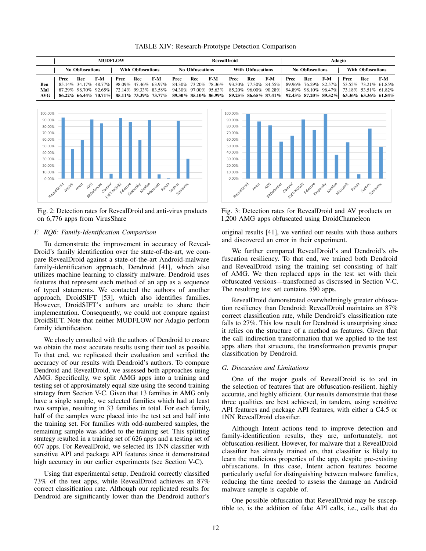|      | <b>MUDFLOW</b>                                     |     |     |      |                                                    |     | <b>RevealDroid</b> |     |                                                    |                                                                                                                               |     |     | Adagio |     |     |      |     |     |  |
|------|----------------------------------------------------|-----|-----|------|----------------------------------------------------|-----|--------------------|-----|----------------------------------------------------|-------------------------------------------------------------------------------------------------------------------------------|-----|-----|--------|-----|-----|------|-----|-----|--|
|      | <b>With Obfuscations</b><br><b>No Obfuscations</b> |     |     |      | <b>With Obfuscations</b><br><b>No Obfuscations</b> |     |                    |     | <b>With Obfuscations</b><br><b>No Obfuscations</b> |                                                                                                                               |     |     |        |     |     |      |     |     |  |
|      | Prec                                               | Rec | F-M | Prec | Rec                                                | F-M | Prec               | Rec | F-M                                                | Prec                                                                                                                          | Rec | F-M | Prec   | Rec | F-M | Prec | Rec | F-M |  |
| Ben  |                                                    |     |     |      |                                                    |     |                    |     |                                                    | 85.14% 34.17% 48.77% 98.09% 47.46% 63.97% 84.30% 73.20% 78.36% 93.30% 77.30% 84.55% 89.96% 76.29% 82.57% 53.55% 73.21% 61.85% |     |     |        |     |     |      |     |     |  |
| Mal  |                                                    |     |     |      |                                                    |     |                    |     |                                                    | 87.29% 98.70% 92.65% 72.14% 99.33% 83.58% 94.30% 97.00% 95.63% 85.20% 96.00% 90.28% 94.89% 98.10% 96.47% 73.18% 53.51% 61.82% |     |     |        |     |     |      |     |     |  |
| AVG- |                                                    |     |     |      |                                                    |     |                    |     |                                                    | 85.11% 73.39% 73.77% 85.11% 73.39% 73.77% 89.30% 85.10% 86.99% 89.25% 86.65% 87.41% 92.43% 87.20% 89.52% 63.36% 63.36% 61.84% |     |     |        |     |     |      |     |     |  |



Fig. 2: Detection rates for RevealDroid and anti-virus products on 6,776 apps from VirusShare

# *F. RQ6: Family-Identification Comparison*

To demonstrate the improvement in accuracy of Reveal-Droid's family identification over the state-of-the-art, we compare RevealDroid against a state-of-the-art Android-malware family-identification approach, Dendroid [41], which also utilizes machine learning to classify malware. Dendroid uses features that represent each method of an app as a sequence of typed statements. We contacted the authors of another approach, DroidSIFT [53], which also identifies families. However, DroidSIFT's authors are unable to share their implementation. Consequently, we could not compare against DroidSIFT. Note that neither MUDFLOW nor Adagio perform family identification.

We closely consulted with the authors of Dendroid to ensure we obtain the most accurate results using their tool as possible. To that end, we replicated their evaluation and verified the accuracy of our results with Dendroid's authors. To compare Dendroid and RevealDroid, we assessed both approaches using AMG. Specifically, we split AMG apps into a training and testing set of approximately equal size using the second training strategy from Section V-C. Given that 13 families in AMG only have a single sample, we selected families which had at least two samples, resulting in 33 families in total. For each family, half of the samples were placed into the test set and half into the training set. For families with odd-numbered samples, the remaining sample was added to the training set. This splitting strategy resulted in a training set of 626 apps and a testing set of 607 apps. For RevealDroid, we selected its 1NN classifier with sensitive API and package API features since it demonstrated high accuracy in our earlier experiments (see Section V-C).

Using that experimental setup, Dendroid correctly classified 73% of the test apps, while RevealDroid achieves an 87% correct classification rate. Although our replicated results for Dendroid are significantly lower than the Dendroid author's



Fig. 3: Detection rates for RevealDroid and AV products on 1,200 AMG apps obfuscated using DroidChameleon

original results [41], we verified our results with those authors and discovered an error in their experiment.

We further compared RevealDroid's and Dendroid's obfuscation resiliency. To that end, we trained both Dendroid and RevealDroid using the training set consisting of half of AMG. We then replaced apps in the test set with their obfuscated versions—transformed as discussed in Section V-C. The resulting test set contains 590 apps.

RevealDroid demonstrated overwhelmingly greater obfuscation resiliency than Dendroid: RevealDroid maintains an 87% correct classification rate, while Dendroid's classification rate falls to 27%. This low result for Dendroid is unsurprising since it relies on the structure of a method as features. Given that the call indirection transformation that we applied to the test apps alters that structure, the transformation prevents proper classification by Dendroid.

#### *G. Discussion and Limitations*

One of the major goals of RevealDroid is to aid in the selection of features that are obfuscation-resilient, highly accurate, and highly efficient. Our results demonstrate that these three qualities are best achieved, in tandem, using sensitive API features and package API features, with either a C4.5 or 1NN RevealDroid classifier.

Although Intent actions tend to improve detection and family-identification results, they are, unfortunately, not obfuscation-resilient. However, for malware that a RevealDroid classifier has already trained on, that classifier is likely to learn the malicious properties of the app, despite pre-existing obfuscations. In this case, Intent action features become particularly useful for distinguishing between malware families, reducing the time needed to assess the damage an Android malware sample is capable of.

One possible obfuscation that RevealDroid may be susceptible to, is the addition of fake API calls, i.e., calls that do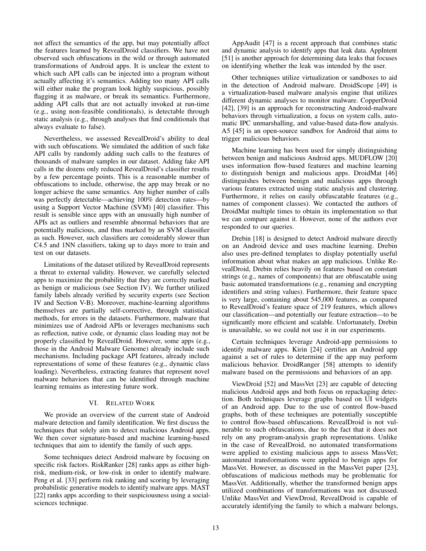not affect the semantics of the app, but may potentially affect the features learned by RevealDroid classifiers. We have not observed such obfuscations in the wild or through automated transformations of Android apps. It is unclear the extent to which such API calls can be injected into a program without actually affecting it's semantics. Adding too many API calls will either make the program look highly suspicious, possibly flagging it as malware, or break its semantics. Furthermore, adding API calls that are not actually invoked at run-time (e.g., using non-feasible conditionals), is detectable through static analysis (e.g., through analyses that find conditionals that always evaluate to false).

Nevertheless, we assessed RevealDroid's ability to deal with such obfuscations. We simulated the addition of such fake API calls by randomly adding such calls to the features of thousands of malware samples in our dataset. Adding fake API calls in the dozens only reduced RevealDroid's classifier results by a few percentage points. This is a reasonable number of obfuscations to include, otherwise, the app may break or no longer achieve the same semantics. Any higher number of calls was perfectly detectable—achieving 100% detection rates—by using a Support Vector Machine (SVM) [40] classifier. This result is sensible since apps with an unusually high number of APIs act as outliers and resemble abnormal behaviors that are potentially malicious, and thus marked by an SVM classifier as such. However, such classifiers are considerably slower than C4.5 and 1NN classifiers, taking up to days more to train and test on our datasets.

Limitations of the dataset utilized by RevealDroid represents a threat to external validity. However, we carefully selected apps to maximize the probability that they are correctly marked as benign or malicious (see Section IV). We further utilized family labels already verified by security experts (see Section IV and Section V-B). Moreover, machine-learning algorithms themselves are partially self-corrective, through statistical methods, for errors in the datasets. Furthermore, malware that minimizes use of Android APIs or leverages mechanisms such as reflection, native code, or dynamic class loading may not be properly classified by RevealDroid. However, some apps (e.g., those in the Android Malware Genome) already include such mechanisms. Including package API features, already include representations of some of these features (e.g., dynamic class loading). Nevertheless, extracting features that represent novel malware behaviors that can be identified through machine learning remains as interesting future work.

## VI. RELATED WORK

We provide an overview of the current state of Android malware detection and family identification. We first discuss the techniques that solely aim to detect malicious Android apps. We then cover signature-based and machine learning-based techniques that aim to identify the family of such apps.

Some techniques detect Android malware by focusing on specific risk factors. RiskRanker [28] ranks apps as either highrisk, medium-risk, or low-risk in order to identify malware. Peng et al. [33] perform risk ranking and scoring by leveraging probabilistic generative models to identify malware apps. MAST [22] ranks apps according to their suspiciousness using a socialsciences technique.

AppAudit [47] is a recent approach that combines static and dynamic analysis to identify apps that leak data. AppIntent [51] is another approach for determining data leaks that focuses on identifying whether the leak was intended by the user.

Other techniques utilize virtualization or sandboxes to aid in the detection of Android malware. DroidScope [49] is a virtualization-based malware analysis engine that utilizes different dynamic analyses to monitor malware. CopperDroid [42], [39] is an approach for reconstructing Android-malware behaviors through virtualization, a focus on system calls, automatic IPC unmarshalling, and value-based data-flow analysis. A5 [45] is an open-source sandbox for Android that aims to trigger malicious behaviors.

Machine learning has been used for simply distinguishing between benign and malicious Android apps. MUDFLOW [20] uses information flow-based features and machine learning to distinguish benign and malicious apps. DroidMat [46] distinguishes between benign and malicious apps through various features extracted using static analysis and clustering. Furthermore, it relies on easily obfuscatable features (e.g., names of component classes). We contacted the authors of DroidMat multiple times to obtain its implementation so that we can compare against it. However, none of the authors ever responded to our queries.

Drebin [18] is designed to detect Android malware directly on an Android device and uses machine learning. Drebin also uses pre-defined templates to display potentially useful information about what makes an app malicious. Unlike RevealDroid, Drebin relies heavily on features based on constant strings (e.g., names of components) that are obfuscatable using basic automated transformations (e.g., renaming and encrypting identifiers and string values). Furthermore, their feature space is very large, containing about 545,000 features, as compared to RevealDroid's feature space of 219 features, which allows our classification—and potentially our feature extraction—to be significantly more efficient and scalable. Unfortunately, Drebin is unavailable, so we could not use it in our experiments.

Certain techniques leverage Android-app permissions to identify malware apps. Kirin [24] certifies an Android app against a set of rules to determine if the app may perform malicious behavior. DroidRanger [58] attempts to identify malware based on the permissions and behaviors of an app.

ViewDroid [52] and MassVet [23] are capable of detecting malicious Android apps and both focus on repackaging detection. Both techniques leverage graphs based on UI widgets of an Android app. Due to the use of control flow-based graphs, both of these techniques are potentially susceptible to control flow-based obfuscations. RevealDroid is not vulnerable to such obfuscations, due to the fact that it does not rely on any program-analysis graph representations. Unlike in the case of RevealDroid, no automated transformations were applied to existing malicious apps to assess MassVet; automated transformations were applied to benign apps for MassVet. However, as discussed in the MassVet paper [23], obfuscations of malicious methods may be problematic for MassVet. Additionally, whether the transformed benign apps utilized combinations of transformations was not discussed. Unlike MassVet and ViewDroid, RevealDroid is capable of accurately identifying the family to which a malware belongs,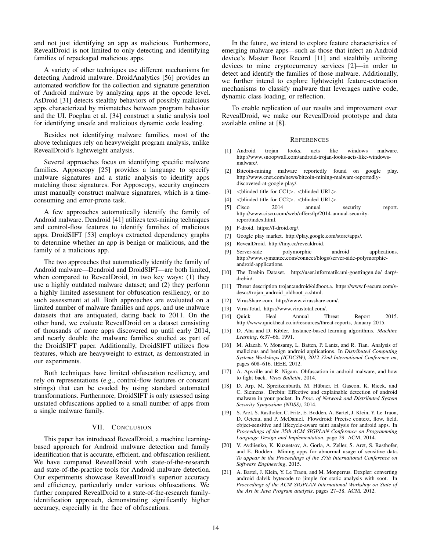and not just identifying an app as malicious. Furthermore, RevealDroid is not limited to only detecting and identifying families of repackaged malicious apps.

A variety of other techniques use different mechanisms for detecting Android malware. DroidAnalytics [56] provides an automated workflow for the collection and signature generation of Android malware by analyzing apps at the opcode level. AsDroid [31] detects stealthy behaviors of possibly malicious apps characterized by mismatches between program behavior and the UI. Poeplau et al. [34] construct a static analysis tool for identifying unsafe and malicious dynamic code loading.

Besides not identifying malware families, most of the above techniques rely on heavyweight program analysis, unlike RevealDroid's lightweight analysis.

Several approaches focus on identifying specific malware families. Apposcopy [25] provides a language to specify malware signatures and a static analysis to identify apps matching those signatures. For Apposcopy, security engineers must manually construct malware signatures, which is a timeconsuming and error-prone task.

A few approaches automatically identify the family of Android malware. Dendroid [41] utilizes text-mining techniques and control-flow features to identify families of malicious apps. DroidSIFT [53] employs extracted dependency graphs to determine whether an app is benign or malicious, and the family of a malicious app.

The two approaches that automatically identify the family of Android malware—Dendroid and DroidSIFT—are both limited, when compared to RevealDroid, in two key ways: (1) they use a highly outdated malware dataset; and (2) they perform a highly limited assessment for obfuscation resiliency, or no such assessment at all. Both approaches are evaluated on a limited number of malware families and apps, and use malware datasets that are antiquated, dating back to 2011. On the other hand, we evaluate RevealDroid on a dataset consisting of thousands of more apps discovered up until early 2014, and nearly double the malware families studied as part of the DroidSIFT paper. Additionally, DroidSIFT utilizes flow features, which are heavyweight to extract, as demonstrated in our experiments.

Both techniques have limited obfuscation resiliency, and rely on representations (e.g., control-flow features or constant strings) that can be evaded by using standard automated transformations. Furthermore, DroidSIFT is only assessed using unstated obfuscations applied to a small number of apps from a single malware family.

#### VII. CONCLUSION

This paper has introduced RevealDroid, a machine learningbased approach for Android malware detection and family identification that is accurate, efficient, and obfuscation resilient. We have compared RevealDroid with state-of-the-research and state-of-the-practice tools for Android malware detection. Our experiments showcase RevealDroid's superior accuracy and efficiency, particularly under various obfuscations. We further compared RevealDroid to a state-of-the-research familyidentification approach, demonstrating significantly higher accuracy, especially in the face of obfuscations.

In the future, we intend to explore feature characteristics of emerging malware apps—such as those that infect an Android device's Master Boot Record [11] and stealthily utilizing devices to mine cryptocurrency services [2]—in order to detect and identify the families of those malware. Additionally, we further intend to explore lightweight feature-extraction mechanisms to classify malware that leverages native code, dynamic class loading, or reflection.

To enable replication of our results and improvement over RevealDroid, we make our RevealDroid prototype and data available online at [8].

#### **REFERENCES**

- [1] Android trojan looks, acts like windows malware. http://www.snoopwall.com/android-trojan-looks-acts-like-windowsmalware/.
- [2] Bitcoin-mining malware reportedly found on google play. http://www.cnet.com/news/bitcoin-mining-malware-reportedlydiscovered-at-google-play/.
- [3] <br/>blinded title for CC1>. <br/> <br/>blinded URL>.
- [4] <br/>blinded title for CC2>. <br/> <br/>blinded URL>.
- [5] Cisco 2014 annual security report. http://www.cisco.com/web/offers/lp/2014-annual-securityreport/index.html.
- [6] F-droid. https://f-droid.org/.
- [7] Google play market. http://play.google.com/store/apps/.
- [8] RevealDroid. http://tiny.cc/revealdroid.
- [9] Server-side polymorphic android applications. http://www.symantec.com/connect/blogs/server-side-polymorphicandroid-applications.
- [10] The Drebin Dataset. http://user.informatik.uni-goettingen.de/ darp/ drebin/.
- [11] Threat description trojan:android/oldboot.a. https://www.f-secure.com/vdescs/trojan\_android\_oldboot\_a.shtml.
- [12] VirusShare.com. http://www.virusshare.com/.
- [13] VirusTotal. https://www.virustotal.com/.
- [14] Quick Heal Annual Threat Report 2015. http://www.quickheal.co.in/resources/threat-reports, January 2015.
- [15] D. Aha and D. Kibler. Instance-based learning algorithms. *Machine Learning*, 6:37–66, 1991.
- [16] M. Alazab, V. Monsamy, L. Batten, P. Lantz, and R. Tian. Analysis of malicious and benign android applications. In *Distributed Computing Systems Workshops (ICDCSW), 2012 32nd International Conference on*, pages 608–616. IEEE, 2012.
- [17] A. Apvrille and R. Nigam. Obfuscation in android malware, and how to fight back. *Virus Bulletin*, 2014.
- [18] D. Arp, M. Spreitzenbarth, M. Hübner, H. Gascon, K. Rieck, and C. Siemens. Drebin: Effective and explainable detection of android malware in your pocket. In *Proc. of Network and Distributed System Security Symposium (NDSS)*, 2014.
- [19] S. Arzt, S. Rasthofer, C. Fritz, E. Bodden, A. Bartel, J. Klein, Y. Le Traon, D. Octeau, and P. McDaniel. Flowdroid: Precise context, flow, field, object-sensitive and lifecycle-aware taint analysis for android apps. In *Proceedings of the 35th ACM SIGPLAN Conference on Programming Language Design and Implementation*, page 29. ACM, 2014.
- [20] V. Avdiienko, K. Kuznetsov, A. Gorla, A. Zeller, S. Arzt, S. Rasthofer, and E. Bodden. Mining apps for abnormal usage of sensitive data. *To appear in the Proceedings of the 37th International Conference on Software Engineering*, 2015.
- [21] A. Bartel, J. Klein, Y. Le Traon, and M. Monperrus. Dexpler: converting android dalvik bytecode to jimple for static analysis with soot. In *Proceedings of the ACM SIGPLAN International Workshop on State of the Art in Java Program analysis*, pages 27–38. ACM, 2012.